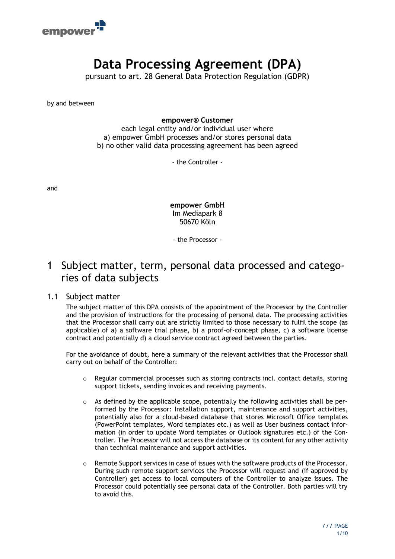

# **Data Processing Agreement (DPA)**

pursuant to art. 28 General Data Protection Regulation (GDPR)

by and between

#### **empower® Customer**

each legal entity and/or individual user where a) empower GmbH processes and/or stores personal data b) no other valid data processing agreement has been agreed

- the Controller -

and

**empower GmbH** Im Mediapark 8 50670 Köln

- the Processor -

### 1 Subject matter, term, personal data processed and categories of data subjects

#### 1.1 Subject matter

The subject matter of this DPA consists of the appointment of the Processor by the Controller and the provision of instructions for the processing of personal data. The processing activities that the Processor shall carry out are strictly limited to those necessary to fulfil the scope (as applicable) of a) a software trial phase, b) a proof-of-concept phase, c) a software license contract and potentially d) a cloud service contract agreed between the parties.

For the avoidance of doubt, here a summary of the relevant activities that the Processor shall carry out on behalf of the Controller:

- $\circ$  Regular commercial processes such as storing contracts incl. contact details, storing support tickets, sending invoices and receiving payments.
- $\circ$  As defined by the applicable scope, potentially the following activities shall be performed by the Processor: Installation support, maintenance and support activities, potentially also for a cloud-based database that stores Microsoft Office templates (PowerPoint templates, Word templates etc.) as well as User business contact information (in order to update Word templates or Outlook signatures etc.) of the Controller. The Processor will not access the database or its content for any other activity than technical maintenance and support activities.
- $\circ$  Remote Support services in case of issues with the software products of the Processor. During such remote support services the Processor will request and (if approved by Controller) get access to local computers of the Controller to analyze issues. The Processor could potentially see personal data of the Controller. Both parties will try to avoid this.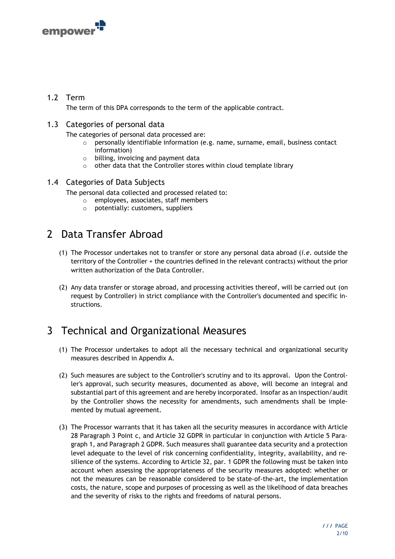

#### 1.2 Term

The term of this DPA corresponds to the term of the applicable contract.

#### 1.3 Categories of personal data

The categories of personal data processed are:

- $\circ$  personally identifiable information (e.g. name, surname, email, business contact information)
- o billing, invoicing and payment data
- o other data that the Controller stores within cloud template library

#### 1.4 Categories of Data Subjects

The personal data collected and processed related to:

- o employees, associates, staff members
- $\circ$  potentially: customers, suppliers

### 2 Data Transfer Abroad

- (1) The Processor undertakes not to transfer or store any personal data abroad (*i.e*. outside the territory of the Controller + the countries defined in the relevant contracts) without the prior written authorization of the Data Controller.
- (2) Any data transfer or storage abroad, and processing activities thereof, will be carried out (on request by Controller) in strict compliance with the Controller's documented and specific instructions.

### 3 Technical and Organizational Measures

- (1) The Processor undertakes to adopt all the necessary technical and organizational security measures described in Appendix A.
- (2) Such measures are subject to the Controller's scrutiny and to its approval. Upon the Controller's approval, such security measures, documented as above, will become an integral and substantial part of this agreement and are hereby incorporated. Insofar as an inspection/audit by the Controller shows the necessity for amendments, such amendments shall be implemented by mutual agreement.
- (3) The Processor warrants that it has taken all the security measures in accordance with Article 28 Paragraph 3 Point c, and Article 32 GDPR in particular in conjunction with Article 5 Paragraph 1, and Paragraph 2 GDPR. Such measures shall guarantee data security and a protection level adequate to the level of risk concerning confidentiality, integrity, availability, and resilience of the systems. According to Article 32, par. 1 GDPR the following must be taken into account when assessing the appropriateness of the security measures adopted: whether or not the measures can be reasonable considered to be state-of-the-art, the implementation costs, the nature, scope and purposes of processing as well as the likelihood of data breaches and the severity of risks to the rights and freedoms of natural persons.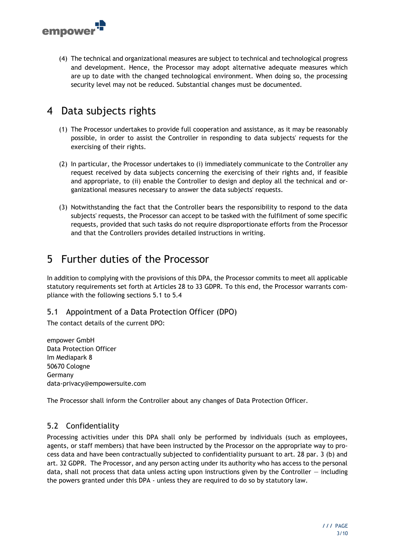

(4) The technical and organizational measures are subject to technical and technological progress and development. Hence, the Processor may adopt alternative adequate measures which are up to date with the changed technological environment. When doing so, the processing security level may not be reduced. Substantial changes must be documented.

## 4 Data subjects rights

- (1) The Processor undertakes to provide full cooperation and assistance, as it may be reasonably possible, in order to assist the Controller in responding to data subjects' requests for the exercising of their rights.
- (2) In particular, the Processor undertakes to (i) immediately communicate to the Controller any request received by data subjects concerning the exercising of their rights and, if feasible and appropriate, to (ii) enable the Controller to design and deploy all the technical and organizational measures necessary to answer the data subjects' requests.
- (3) Notwithstanding the fact that the Controller bears the responsibility to respond to the data subjects' requests, the Processor can accept to be tasked with the fulfilment of some specific requests, provided that such tasks do not require disproportionate efforts from the Processor and that the Controllers provides detailed instructions in writing.

### 5 Further duties of the Processor

In addition to complying with the provisions of this DPA, the Processor commits to meet all applicable statutory requirements set forth at Articles 28 to 33 GDPR. To this end, the Processor warrants compliance with the following sections 5.1 to 5.4

#### 5.1 Appointment of a Data Protection Officer (DPO)

The contact details of the current DPO:

empower GmbH Data Protection Officer Im Mediapark 8 50670 Cologne Germany data-privacy@empowersuite.com

The Processor shall inform the Controller about any changes of Data Protection Officer.

#### 5.2 Confidentiality

Processing activities under this DPA shall only be performed by individuals (such as employees, agents, or staff members) that have been instructed by the Processor on the appropriate way to process data and have been contractually subjected to confidentiality pursuant to art. 28 par. 3 (b) and art. 32 GDPR. The Processor, and any person acting under its authority who has access to the personal data, shall not process that data unless acting upon instructions given by the Controller — including the powers granted under this DPA - unless they are required to do so by statutory law.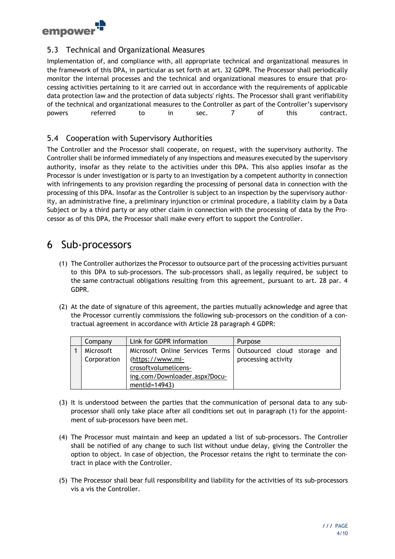

#### 5.3 Technical and Organizational Measures

Implementation of, and compliance with, all appropriate technical and organizational measures in the framework of this DPA, in particular as set forth at art. 32 GDPR. The Processor shall periodically monitor the internal processes and the technical and organizational measures to ensure that processing activities pertaining to it are carried out in accordance with the requirements of applicable data protection law and the protection of data subjects' rights. The Processor shall grant verifiability of the technical and organizational measures to the Controller as part of the Controller's supervisory powers referred to in sec. 7 of this contract.

#### 5.4 Cooperation with Supervisory Authorities

The Controller and the Processor shall cooperate, on request, with the supervisory authority. The Controller shall be informed immediately of any inspections and measures executed by the supervisory authority, insofar as they relate to the activities under this DPA. This also applies insofar as the Processor is under investigation or is party to an investigation by a competent authority in connection with infringements to any provision regarding the processing of personal data in connection with the processing of this DPA. Insofar as the Controller is subject to an inspection by the supervisory authority, an administrative fine, a preliminary injunction or criminal procedure, a liability claim by a Data Subject or by a third party or any other claim in connection with the processing of data by the Processor as of this DPA, the Processor shall make every effort to support the Controller.

### 6 Sub-processors

- (1) The Controller authorizes the Processor to outsource part of the processing activities pursuant to this DPA to sub-processors. The sub-processors shall, as legally required, be subject to the same contractual obligations resulting from this agreement, pursuant to art. 28 par. 4 GDPR.
- (2) At the date of signature of this agreement, the parties mutually acknowledge and agree that the Processor currently commissions the following sub-processors on the condition of a contractual agreement in accordance with Article 28 paragraph 4 GDPR:

| Company     | Link for GDPR information       | Purpose                      |
|-------------|---------------------------------|------------------------------|
| Microsoft   | Microsoft Online Services Terms | Outsourced cloud storage and |
| Corporation | (https://www.mi-                | processing activity          |
|             | crosoftvolumelicens-            |                              |
|             | ing.com/Downloader.aspx?Docu-   |                              |
|             | mentId=14943)                   |                              |

- (3) It is understood between the parties that the communication of personal data to any subprocessor shall only take place after all conditions set out in paragraph (1) for the appointment of sub-processors have been met.
- (4) The Processor must maintain and keep an updated a list of sub-processors. The Controller shall be notified of any change to such list without undue delay, giving the Controller the option to object. In case of objection, the Processor retains the right to terminate the contract in place with the Controller.
- (5) The Processor shall bear full responsibility and liability for the activities of its sub-processors vis a vis the Controller.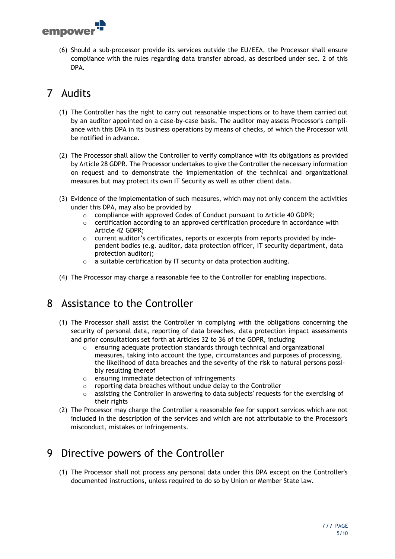

(6) Should a sub-processor provide its services outside the EU/EEA, the Processor shall ensure compliance with the rules regarding data transfer abroad, as described under sec. 2 of this DPA.

## 7 Audits

- (1) The Controller has the right to carry out reasonable inspections or to have them carried out by an auditor appointed on a case-by-case basis. The auditor may assess Processor's compliance with this DPA in its business operations by means of checks, of which the Processor will be notified in advance.
- (2) The Processor shall allow the Controller to verify compliance with its obligations as provided by Article 28 GDPR. The Processor undertakes to give the Controller the necessary information on request and to demonstrate the implementation of the technical and organizational measures but may protect its own IT Security as well as other client data.
- (3) Evidence of the implementation of such measures, which may not only concern the activities under this DPA, may also be provided by
	- o compliance with approved Codes of Conduct pursuant to Article 40 GDPR;
	- $\circ$  certification according to an approved certification procedure in accordance with Article 42 GDPR;
	- $\circ$  current auditor's certificates, reports or excerpts from reports provided by independent bodies (e.g. auditor, data protection officer, IT security department, data protection auditor);
	- o a suitable certification by IT security or data protection auditing.
- (4) The Processor may charge a reasonable fee to the Controller for enabling inspections.

### 8 Assistance to the Controller

- (1) The Processor shall assist the Controller in complying with the obligations concerning the security of personal data, reporting of data breaches, data protection impact assessments and prior consultations set forth at Articles 32 to 36 of the GDPR, including
	- $\circ$  ensuring adequate protection standards through technical and organizational measures, taking into account the type, circumstances and purposes of processing, the likelihood of data breaches and the severity of the risk to natural persons possibly resulting thereof
	- o ensuring immediate detection of infringements
	- o reporting data breaches without undue delay to the Controller
	- $\circ$  assisting the Controller in answering to data subjects' requests for the exercising of their rights
- (2) The Processor may charge the Controller a reasonable fee for support services which are not included in the description of the services and which are not attributable to the Processor's misconduct, mistakes or infringements.

### 9 Directive powers of the Controller

(1) The Processor shall not process any personal data under this DPA except on the Controller's documented instructions, unless required to do so by Union or Member State law.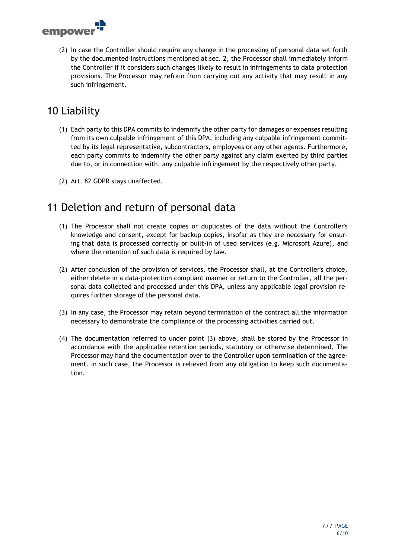

(2) In case the Controller should require any change in the processing of personal data set forth by the documented instructions mentioned at sec. 2, the Processor shall immediately inform the Controller if it considers such changes likely to result in infringements to data protection provisions. The Processor may refrain from carrying out any activity that may result in any such infringement.

### 10 Liability

- (1) Each party to this DPA commits to indemnify the other party for damages or expenses resulting from its own culpable infringement of this DPA, including any culpable infringement committed by its legal representative, subcontractors, employees or any other agents. Furthermore, each party commits to indemnify the other party against any claim exerted by third parties due to, or in connection with, any culpable infringement by the respectively other party.
- (2) Art. 82 GDPR stays unaffected.

### 11 Deletion and return of personal data

- (1) The Processor shall not create copies or duplicates of the data without the Controller's knowledge and consent, except for backup copies, insofar as they are necessary for ensuring that data is processed correctly or built-in of used services (e.g. Microsoft Azure), and where the retention of such data is required by law.
- (2) After conclusion of the provision of services, the Processor shall, at the Controller's choice, either delete in a data-protection compliant manner or return to the Controller, all the personal data collected and processed under this DPA, unless any applicable legal provision requires further storage of the personal data.
- (3) In any case, the Processor may retain beyond termination of the contract all the information necessary to demonstrate the compliance of the processing activities carried out.
- (4) The documentation referred to under point (3) above, shall be stored by the Processor in accordance with the applicable retention periods, statutory or otherwise determined. The Processor may hand the documentation over to the Controller upon termination of the agreement. In such case, the Processor is relieved from any obligation to keep such documentation.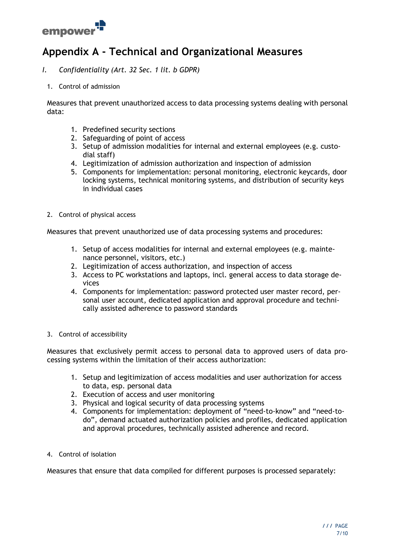

### **Appendix A - Technical and Organizational Measures**

- *I. Confidentiality (Art. 32 Sec. 1 lit. b GDPR)*
- 1. Control of admission

Measures that prevent unauthorized access to data processing systems dealing with personal data:

- 1. Predefined security sections
- 2. Safeguarding of point of access
- 3. Setup of admission modalities for internal and external employees (e.g. custodial staff)
- 4. Legitimization of admission authorization and inspection of admission
- 5. Components for implementation: personal monitoring, electronic keycards, door locking systems, technical monitoring systems, and distribution of security keys in individual cases
- 2. Control of physical access

Measures that prevent unauthorized use of data processing systems and procedures:

- 1. Setup of access modalities for internal and external employees (e.g. maintenance personnel, visitors, etc.)
- 2. Legitimization of access authorization, and inspection of access
- 3. Access to PC workstations and laptops, incl. general access to data storage devices
- 4. Components for implementation: password protected user master record, personal user account, dedicated application and approval procedure and technically assisted adherence to password standards
- 3. Control of accessibility

Measures that exclusively permit access to personal data to approved users of data processing systems within the limitation of their access authorization:

- 1. Setup and legitimization of access modalities and user authorization for access to data, esp. personal data
- 2. Execution of access and user monitoring
- 3. Physical and logical security of data processing systems
- 4. Components for implementation: deployment of "need-to-know" and "need-todo", demand actuated authorization policies and profiles, dedicated application and approval procedures, technically assisted adherence and record.
- 4. Control of isolation

Measures that ensure that data compiled for different purposes is processed separately: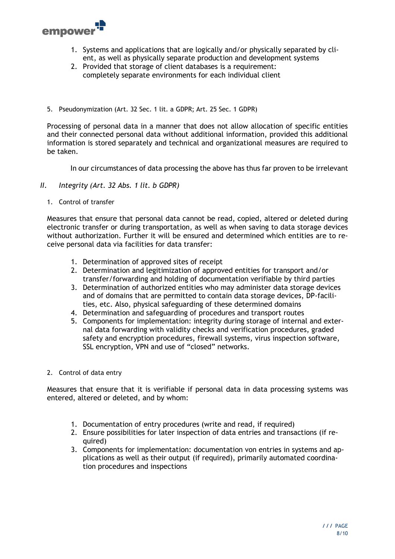

- 1. Systems and applications that are logically and/or physically separated by client, as well as physically separate production and development systems
- 2. Provided that storage of client databases is a requirement: completely separate environments for each individual client
- 5. Pseudonymization (Art. 32 Sec. 1 lit. a GDPR; Art. 25 Sec. 1 GDPR)

Processing of personal data in a manner that does not allow allocation of specific entities and their connected personal data without additional information, provided this additional information is stored separately and technical and organizational measures are required to be taken.

In our circumstances of data processing the above has thus far proven to be irrelevant

- *II. Integrity (Art. 32 Abs. 1 lit. b GDPR)*
	- 1. Control of transfer

Measures that ensure that personal data cannot be read, copied, altered or deleted during electronic transfer or during transportation, as well as when saving to data storage devices without authorization. Further it will be ensured and determined which entities are to receive personal data via facilities for data transfer:

- 1. Determination of approved sites of receipt
- 2. Determination and legitimization of approved entities for transport and/or transfer/forwarding and holding of documentation verifiable by third parties
- 3. Determination of authorized entities who may administer data storage devices and of domains that are permitted to contain data storage devices, DP-facilities, etc. Also, physical safeguarding of these determined domains
- 4. Determination and safeguarding of procedures and transport routes
- 5. Components for implementation: integrity during storage of internal and external data forwarding with validity checks and verification procedures, graded safety and encryption procedures, firewall systems, virus inspection software, SSL encryption, VPN and use of "closed" networks.
- 2. Control of data entry

Measures that ensure that it is verifiable if personal data in data processing systems was entered, altered or deleted, and by whom:

- 1. Documentation of entry procedures (write and read, if required)
- 2. Ensure possibilities for later inspection of data entries and transactions (if required)
- 3. Components for implementation: documentation von entries in systems and applications as well as their output (if required), primarily automated coordination procedures and inspections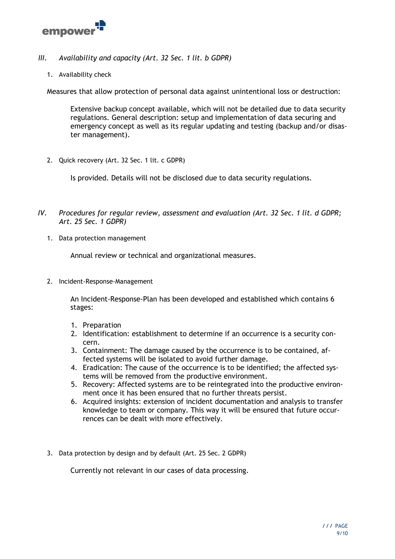

- *III. Availability and capacity (Art. 32 Sec. 1 lit. b GDPR)*
	- 1. Availability check

Measures that allow protection of personal data against unintentional loss or destruction:

Extensive backup concept available, which will not be detailed due to data security regulations. General description: setup and implementation of data securing and emergency concept as well as its regular updating and testing (backup and/or disaster management).

2. Quick recovery (Art. 32 Sec. 1 lit. c GDPR)

Is provided. Details will not be disclosed due to data security regulations.

- *IV. Procedures for regular review, assessment and evaluation (Art. 32 Sec. 1 lit. d GDPR; Art. 25 Sec. 1 GDPR)*
	- 1. Data protection management

Annual review or technical and organizational measures.

2. Incident-Response-Management

An Incident-Response-Plan has been developed and established which contains 6 stages:

- 1. Preparation
- 2. Identification: establishment to determine if an occurrence is a security concern.
- 3. Containment: The damage caused by the occurrence is to be contained, affected systems will be isolated to avoid further damage.
- 4. Eradication: The cause of the occurrence is to be identified; the affected systems will be removed from the productive environment.
- 5. Recovery: Affected systems are to be reintegrated into the productive environment once it has been ensured that no further threats persist.
- 6. Acquired insights: extension of incident documentation and analysis to transfer knowledge to team or company. This way it will be ensured that future occurrences can be dealt with more effectively.
- 3. Data protection by design and by default (Art. 25 Sec. 2 GDPR)

Currently not relevant in our cases of data processing.